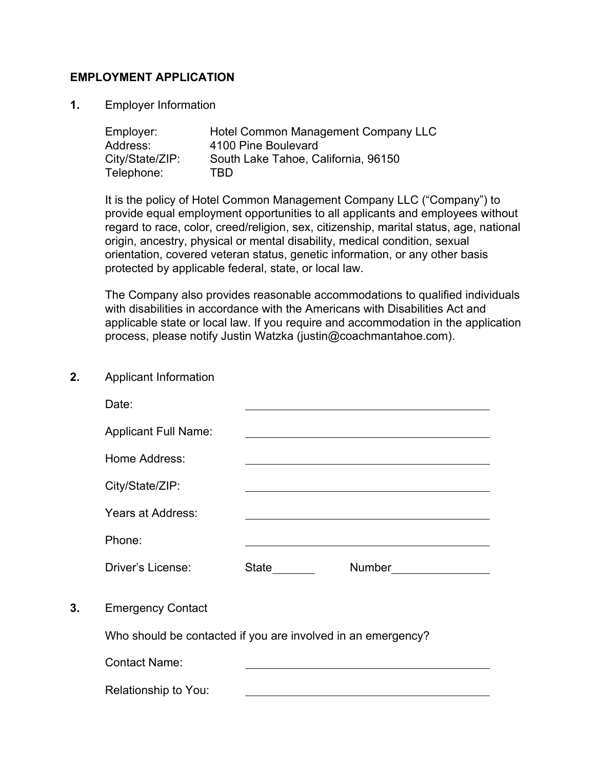### **EMPLOYMENT APPLICATION**

**1.** Employer Information

| Employer:       | Hotel Common Management Company LLC |
|-----------------|-------------------------------------|
| Address:        | 4100 Pine Boulevard                 |
| City/State/ZIP: | South Lake Tahoe, California, 96150 |
| Telephone:      | TBD                                 |

It is the policy of Hotel Common Management Company LLC ("Company") to provide equal employment opportunities to all applicants and employees without regard to race, color, creed/religion, sex, citizenship, marital status, age, national origin, ancestry, physical or mental disability, medical condition, sexual orientation, covered veteran status, genetic information, or any other basis protected by applicable federal, state, or local law.

The Company also provides reasonable accommodations to qualified individuals with disabilities in accordance with the Americans with Disabilities Act and applicable state or local law. If you require and accommodation in the application process, please notify Justin Watzka (justin@coachmantahoe.com).

**2.** Applicant Information

|    | Date:                                                        |       |                          |
|----|--------------------------------------------------------------|-------|--------------------------|
|    | <b>Applicant Full Name:</b>                                  |       |                          |
|    | Home Address:                                                |       |                          |
|    | City/State/ZIP:                                              |       |                          |
|    | Years at Address:                                            |       |                          |
|    | Phone:                                                       |       |                          |
|    | Driver's License:                                            | State | Number <u>__________</u> |
| 3. | <b>Emergency Contact</b>                                     |       |                          |
|    | Who should be contacted if you are involved in an emergency? |       |                          |
|    | <b>Contact Name:</b>                                         |       |                          |
|    | Relationship to You:                                         |       |                          |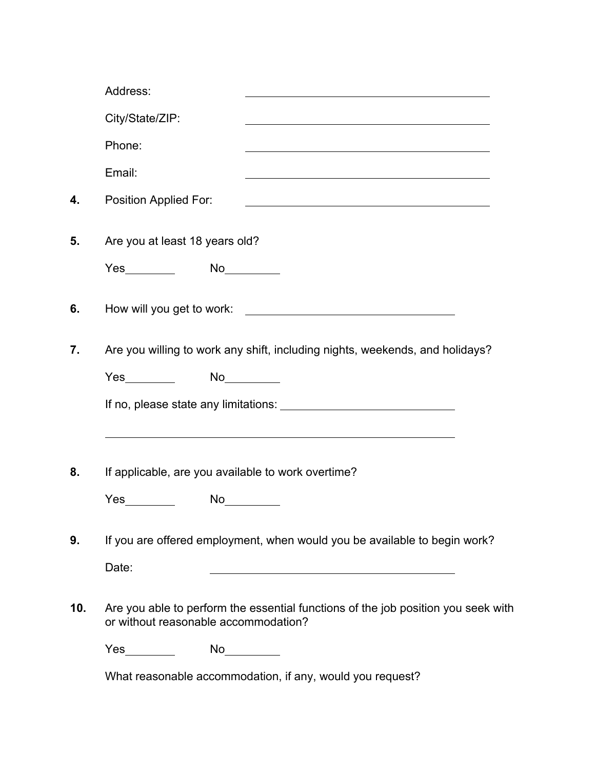|     | Address:                                                                  |                                                                                                                           |  |
|-----|---------------------------------------------------------------------------|---------------------------------------------------------------------------------------------------------------------------|--|
|     | City/State/ZIP:                                                           |                                                                                                                           |  |
|     | Phone:                                                                    |                                                                                                                           |  |
|     | Email:                                                                    |                                                                                                                           |  |
| 4.  | Position Applied For:                                                     |                                                                                                                           |  |
| 5.  | Are you at least 18 years old?                                            |                                                                                                                           |  |
|     | Yes__________  No__________                                               |                                                                                                                           |  |
| 6.  |                                                                           |                                                                                                                           |  |
| 7.  |                                                                           | Are you willing to work any shift, including nights, weekends, and holidays?                                              |  |
|     | <b>Yes</b>                                                                |                                                                                                                           |  |
|     |                                                                           |                                                                                                                           |  |
|     |                                                                           |                                                                                                                           |  |
| 8.  | If applicable, are you available to work overtime?                        |                                                                                                                           |  |
|     | <b>Yes</b>                                                                | No                                                                                                                        |  |
| 9.  | If you are offered employment, when would you be available to begin work? |                                                                                                                           |  |
|     | Date:                                                                     | <u> 1989 - Johann Barn, mars eta bainar eta bainar eta baina eta baina eta baina eta baina eta baina eta baina e</u>      |  |
| 10. |                                                                           | Are you able to perform the essential functions of the job position you seek with<br>or without reasonable accommodation? |  |
|     | $Yes \t\t —$                                                              | $No \underline{\hspace{1cm}}$                                                                                             |  |
|     |                                                                           | What reasonable accommodation, if any, would you request?                                                                 |  |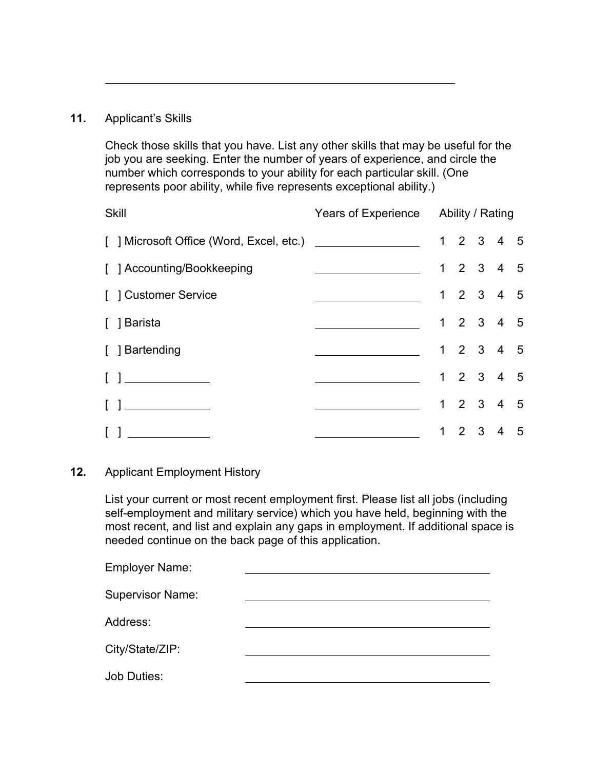## **11.** Applicant's Skills

Check those skills that you have. List any other skills that may be useful for the job you are seeking. Enter the number of years of experience, and circle the number which corresponds to your ability for each particular skill. (One represents poor ability, while five represents exceptional ability.)

| <b>Skill</b>                                                   | Years of Experience Ability / Rating                |  |  |  |           |  |
|----------------------------------------------------------------|-----------------------------------------------------|--|--|--|-----------|--|
|                                                                |                                                     |  |  |  | 1 2 3 4 5 |  |
| [ ] Accounting/Bookkeeping                                     | <u> 1980 - Andrea Station Barbara, amerikan per</u> |  |  |  | 1 2 3 4 5 |  |
| [ ] Customer Service                                           |                                                     |  |  |  | 1 2 3 4 5 |  |
| [ ] Barista                                                    |                                                     |  |  |  | 1 2 3 4 5 |  |
| [ ] Bartending                                                 |                                                     |  |  |  | 1 2 3 4 5 |  |
| $\begin{bmatrix} 1 & 1 & 1 & 1 \\ 1 & 1 & 1 & 1 \end{bmatrix}$ |                                                     |  |  |  | 1 2 3 4 5 |  |
| $\begin{bmatrix} 1 & 1 & 1 \end{bmatrix}$                      |                                                     |  |  |  | 1 2 3 4 5 |  |
| $\Box$<br><u> 1990 - John Stein, maritan a</u>                 |                                                     |  |  |  | 1 2 3 4 5 |  |

### **12.** Applicant Employment History

List your current or most recent employment first. Please list all jobs (including self-employment and military service) which you have held, beginning with the most recent, and list and explain any gaps in employment. If additional space is needed continue on the back page of this application.

| Employer Name:          |  |
|-------------------------|--|
| <b>Supervisor Name:</b> |  |
| Address:                |  |
| City/State/ZIP:         |  |
| <b>Job Duties:</b>      |  |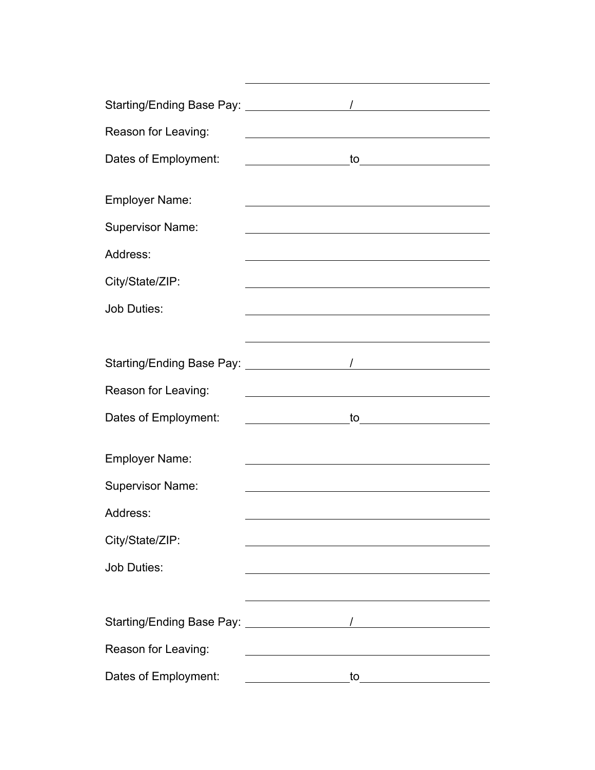| Starting/Ending Base Pay: __________________ |                                                                                                                                                                                                                                |
|----------------------------------------------|--------------------------------------------------------------------------------------------------------------------------------------------------------------------------------------------------------------------------------|
| Reason for Leaving:                          | <u> 1980 - Jan Samuel Barbara, martin di</u>                                                                                                                                                                                   |
| Dates of Employment:                         | <u>to______________________</u>                                                                                                                                                                                                |
|                                              |                                                                                                                                                                                                                                |
| <b>Employer Name:</b>                        |                                                                                                                                                                                                                                |
| <b>Supervisor Name:</b>                      | <u> 1989 - Johann Stoff, deutscher Stoffen und der Stoffen und der Stoffen und der Stoffen und der Stoffen und der</u>                                                                                                         |
| Address:                                     |                                                                                                                                                                                                                                |
| City/State/ZIP:                              |                                                                                                                                                                                                                                |
| <b>Job Duties:</b>                           | <u> 1989 - Johann Stoff, deutscher Stoff, der Stoff, der Stoff, der Stoff, der Stoff, der Stoff, der Stoff, der S</u>                                                                                                          |
|                                              |                                                                                                                                                                                                                                |
|                                              |                                                                                                                                                                                                                                |
| Reason for Leaving:                          |                                                                                                                                                                                                                                |
| Dates of Employment:                         | to the contract of the contract of the contract of the contract of the contract of the contract of the contract of the contract of the contract of the contract of the contract of the contract of the contract of the contrac |
| <b>Employer Name:</b>                        |                                                                                                                                                                                                                                |
| <b>Supervisor Name:</b>                      |                                                                                                                                                                                                                                |
| Address:                                     |                                                                                                                                                                                                                                |
|                                              |                                                                                                                                                                                                                                |
| City/State/ZIP:                              |                                                                                                                                                                                                                                |
| <b>Job Duties:</b>                           |                                                                                                                                                                                                                                |
|                                              |                                                                                                                                                                                                                                |
|                                              |                                                                                                                                                                                                                                |
| Reason for Leaving:                          |                                                                                                                                                                                                                                |
| Dates of Employment:                         | to                                                                                                                                                                                                                             |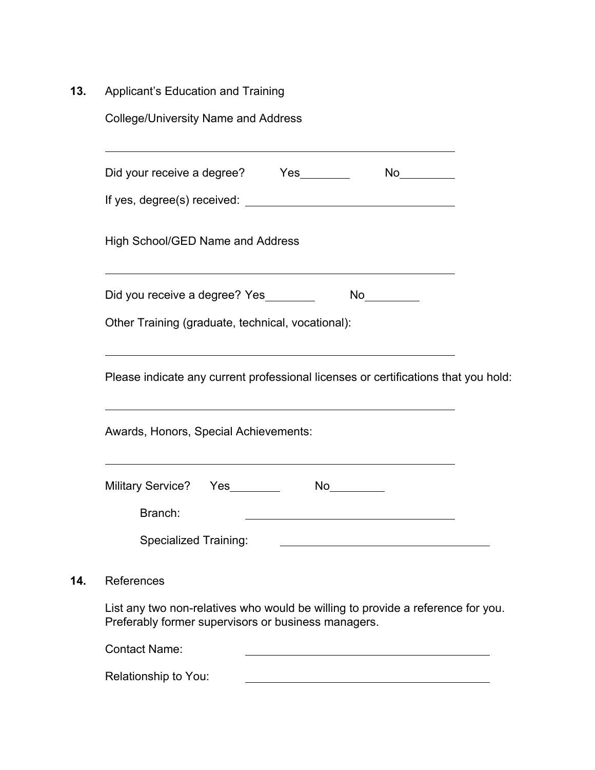**13.** Applicant's Education and Training

| <b>College/University Name and Address</b>                                                                                             |  |
|----------------------------------------------------------------------------------------------------------------------------------------|--|
| Did your receive a degree? Yes<br>$No_$                                                                                                |  |
|                                                                                                                                        |  |
| High School/GED Name and Address                                                                                                       |  |
| Did you receive a degree? Yes<br>No                                                                                                    |  |
| Other Training (graduate, technical, vocational):                                                                                      |  |
| Please indicate any current professional licenses or certifications that you hold:                                                     |  |
| Awards, Honors, Special Achievements:                                                                                                  |  |
| <b>Military Service?</b><br>No                                                                                                         |  |
| Branch:                                                                                                                                |  |
| Specialized Training:                                                                                                                  |  |
| References                                                                                                                             |  |
| List any two non-relatives who would be willing to provide a reference for you.<br>Preferably former supervisors or business managers. |  |
| <b>Contact Name:</b>                                                                                                                   |  |

Relationship to You:

 $14.$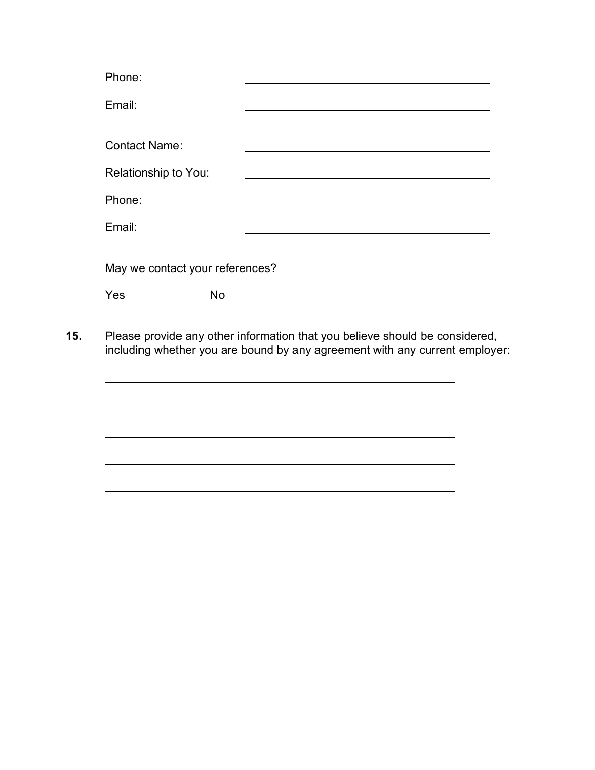|     | Phone:                                        |                                                                                                                                                            |  |
|-----|-----------------------------------------------|------------------------------------------------------------------------------------------------------------------------------------------------------------|--|
|     | Email:                                        |                                                                                                                                                            |  |
|     | <b>Contact Name:</b>                          |                                                                                                                                                            |  |
|     | Relationship to You:                          |                                                                                                                                                            |  |
|     | Phone:                                        |                                                                                                                                                            |  |
|     | Email:                                        |                                                                                                                                                            |  |
|     | May we contact your references?<br><b>Yes</b> |                                                                                                                                                            |  |
| 15. |                                               | Please provide any other information that you believe should be considered,<br>including whether you are bound by any agreement with any current employer: |  |

<u> 1989 - Johann Stoff, fransk politik (f. 1989)</u>

<u> 1989 - Johann Stoff, amerikansk politiker (d. 1989)</u>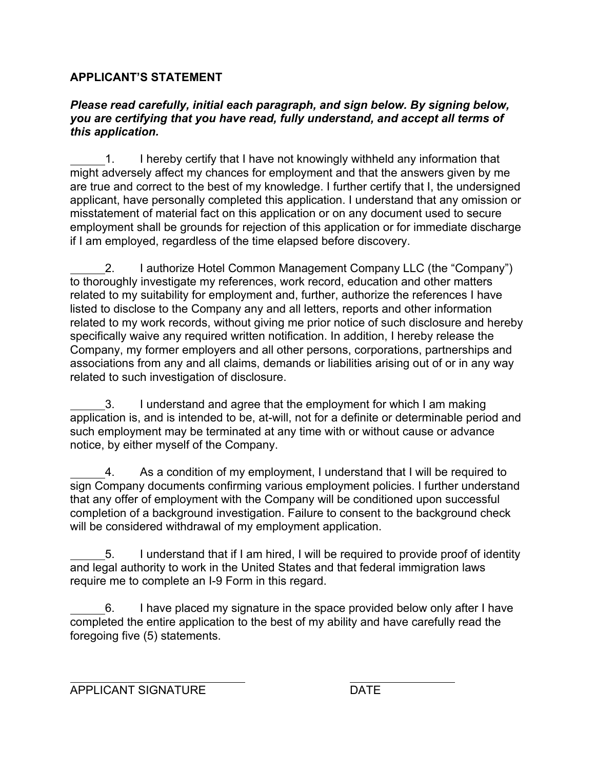# **APPLICANT'S STATEMENT**

## *Please read carefully, initial each paragraph, and sign below. By signing below, you are certifying that you have read, fully understand, and accept all terms of this application.*

1. I hereby certify that I have not knowingly withheld any information that might adversely affect my chances for employment and that the answers given by me are true and correct to the best of my knowledge. I further certify that I, the undersigned applicant, have personally completed this application. I understand that any omission or misstatement of material fact on this application or on any document used to secure employment shall be grounds for rejection of this application or for immediate discharge if I am employed, regardless of the time elapsed before discovery.

2. I authorize Hotel Common Management Company LLC (the "Company") to thoroughly investigate my references, work record, education and other matters related to my suitability for employment and, further, authorize the references I have listed to disclose to the Company any and all letters, reports and other information related to my work records, without giving me prior notice of such disclosure and hereby specifically waive any required written notification. In addition, I hereby release the Company, my former employers and all other persons, corporations, partnerships and associations from any and all claims, demands or liabilities arising out of or in any way related to such investigation of disclosure.

3. I understand and agree that the employment for which I am making application is, and is intended to be, at-will, not for a definite or determinable period and such employment may be terminated at any time with or without cause or advance notice, by either myself of the Company.

4. As a condition of my employment, I understand that I will be required to sign Company documents confirming various employment policies. I further understand that any offer of employment with the Company will be conditioned upon successful completion of a background investigation. Failure to consent to the background check will be considered withdrawal of my employment application.

5. I understand that if I am hired, I will be required to provide proof of identity and legal authority to work in the United States and that federal immigration laws require me to complete an I-9 Form in this regard.

6. I have placed my signature in the space provided below only after I have completed the entire application to the best of my ability and have carefully read the foregoing five (5) statements.

APPLICANT SIGNATURE DATE